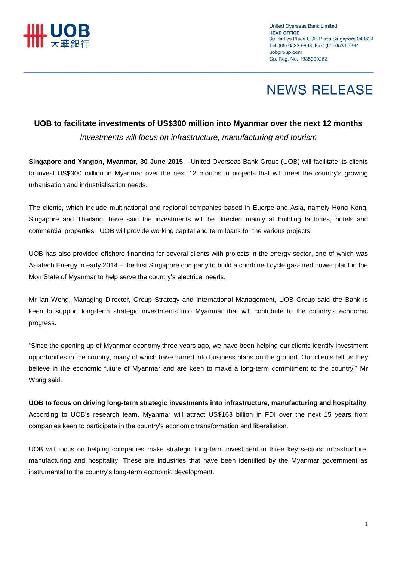

# **NEWS RELEASE**

### **UOB to facilitate investments of US\$300 million into Myanmar over the next 12 months**

*Investments will focus on infrastructure, manufacturing and tourism*

**Singapore and Yangon, Myanmar, 30 June 2015** – United Overseas Bank Group (UOB) will facilitate its clients to invest US\$300 million in Myanmar over the next 12 months in projects that will meet the country's growing urbanisation and industrialisation needs.

The clients, which include multinational and regional companies based in Euorpe and Asia, namely Hong Kong, Singapore and Thailand, have said the investments will be directed mainly at building factories, hotels and commercial properties. UOB will provide working capital and term loans for the various projects.

UOB has also provided offshore financing for several clients with projects in the energy sector, one of which was Asiatech Energy in early 2014 – the first Singapore company to build a combined cycle gas-fired power plant in the Mon State of Myanmar to help serve the country's electrical needs.

Mr Ian Wong, Managing Director, Group Strategy and International Management, UOB Group said the Bank is keen to support long-term strategic investments into Myanmar that will contribute to the country's economic progress.

"Since the opening up of Myanmar economy three years ago, we have been helping our clients identify investment opportunities in the country, many of which have turned into business plans on the ground. Our clients tell us they believe in the economic future of Myanmar and are keen to make a long-term commitment to the country," Mr Wong said.

**UOB to focus on driving long-term strategic investments into infrastructure, manufacturing and hospitality** According to UOB's research team, Myanmar will attract US\$163 billion in FDI over the next 15 years from companies keen to participate in the country's economic transformation and liberalistion.

UOB will focus on helping companies make strategic long-term investment in three key sectors: infrastructure, manufacturing and hospitality. These are industries that have been identified by the Myanmar government as instrumental to the country's long-term economic development.